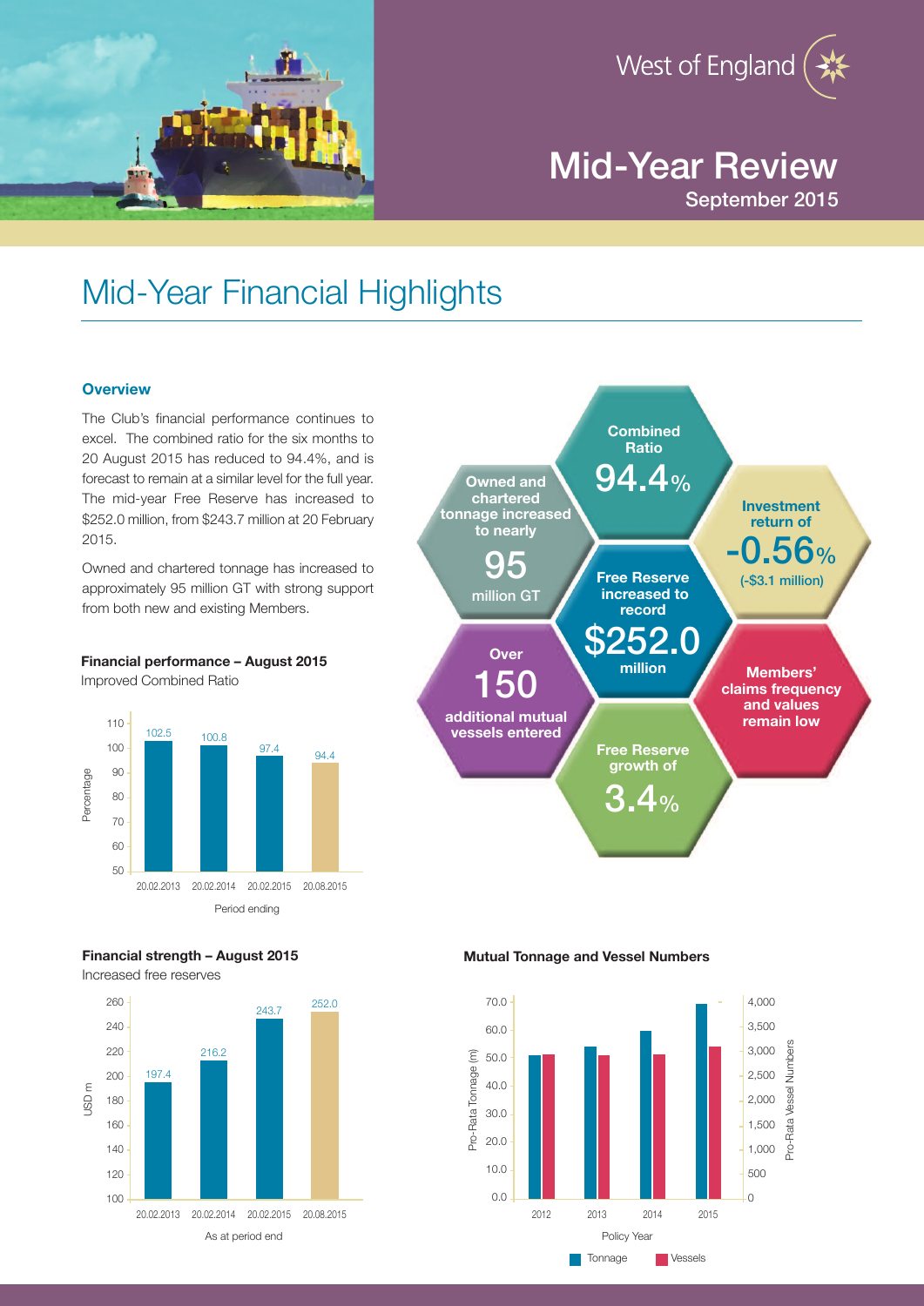



# Mid-Year Review September 2015

# Mid-Year Financial Highlights

# **Overview**

The Club's financial performance continues to excel. The combined ratio for the six months to 20 August 2015 has reduced to 94.4%, and is forecast to remain at a similar level for the full year. The mid-year Free Reserve has increased to \$252.0 million, from \$243.7 million at 20 February 2015.

Owned and chartered tonnage has increased to approximately 95 million GT with strong support from both new and existing Members.

**Financial performance – August 2015** Improved Combined Ratio





Increased free reserves



**Mutual Tonnage and Vessel Numbers**